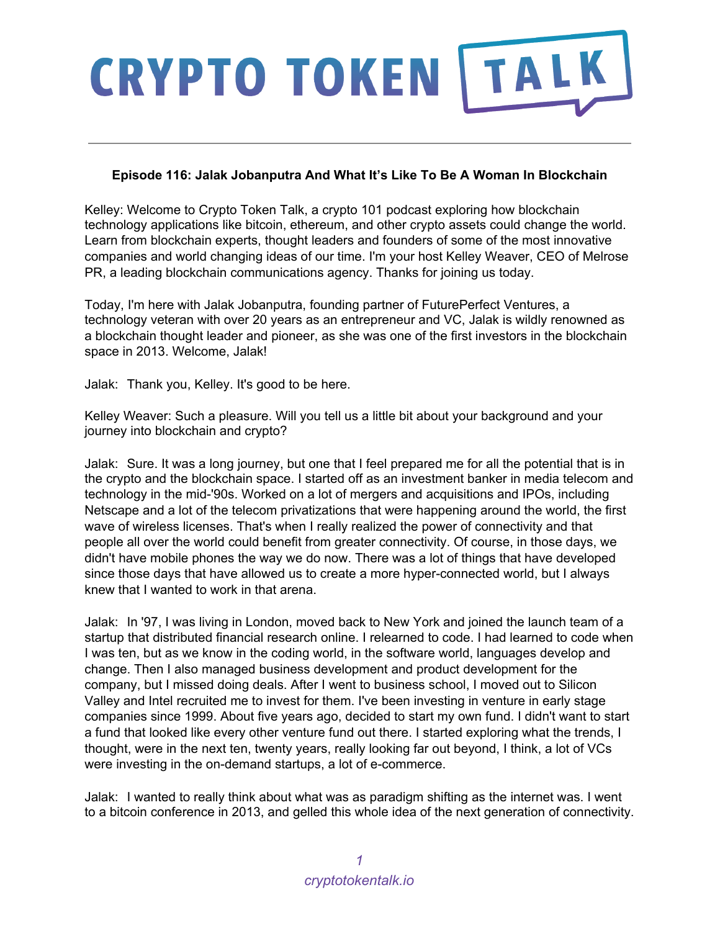#### **Episode 116: Jalak Jobanputra And What It's Like To Be A Woman In Blockchain**

Kelley: Welcome to Crypto Token Talk, a crypto 101 podcast exploring how blockchain technology applications like bitcoin, ethereum, and other crypto assets could change the world. Learn from blockchain experts, thought leaders and founders of some of the most innovative companies and world changing ideas of our time. I'm your host Kelley Weaver, CEO of Melrose PR, a leading blockchain communications agency. Thanks for joining us today.

Today, I'm here with Jalak Jobanputra, founding partner of FuturePerfect Ventures, a technology veteran with over 20 years as an entrepreneur and VC, Jalak is wildly renowned as a blockchain thought leader and pioneer, as she was one of the first investors in the blockchain space in 2013. Welcome, Jalak!

Jalak: Thank you, Kelley. It's good to be here.

Kelley Weaver: Such a pleasure. Will you tell us a little bit about your background and your journey into blockchain and crypto?

Jalak: Sure. It was a long journey, but one that I feel prepared me for all the potential that is in the crypto and the blockchain space. I started off as an investment banker in media telecom and technology in the mid-'90s. Worked on a lot of mergers and acquisitions and IPOs, including Netscape and a lot of the telecom privatizations that were happening around the world, the first wave of wireless licenses. That's when I really realized the power of connectivity and that people all over the world could benefit from greater connectivity. Of course, in those days, we didn't have mobile phones the way we do now. There was a lot of things that have developed since those days that have allowed us to create a more hyper-connected world, but I always knew that I wanted to work in that arena.

Jalak: In '97, I was living in London, moved back to New York and joined the launch team of a startup that distributed financial research online. I relearned to code. I had learned to code when I was ten, but as we know in the coding world, in the software world, languages develop and change. Then I also managed business development and product development for the company, but I missed doing deals. After I went to business school, I moved out to Silicon Valley and Intel recruited me to invest for them. I've been investing in venture in early stage companies since 1999. About five years ago, decided to start my own fund. I didn't want to start a fund that looked like every other venture fund out there. I started exploring what the trends, I thought, were in the next ten, twenty years, really looking far out beyond, I think, a lot of VCs were investing in the on-demand startups, a lot of e-commerce.

Jalak: I wanted to really think about what was as paradigm shifting as the internet was. I went to a bitcoin conference in 2013, and gelled this whole idea of the next generation of connectivity.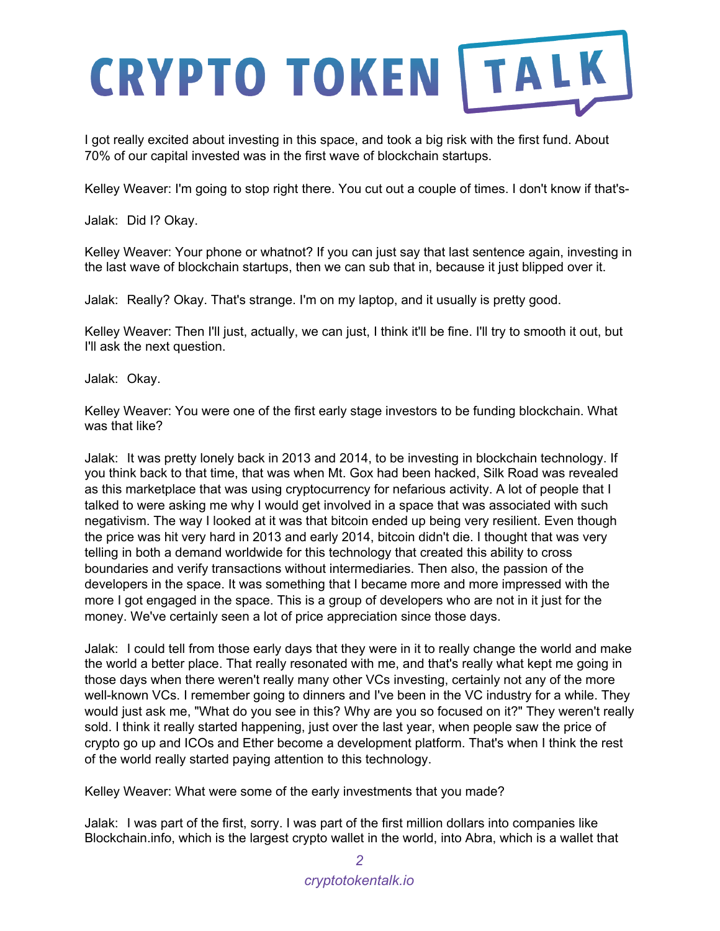I got really excited about investing in this space, and took a big risk with the first fund. About 70% of our capital invested was in the first wave of blockchain startups.

Kelley Weaver: I'm going to stop right there. You cut out a couple of times. I don't know if that's-

Jalak: Did I? Okay.

Kelley Weaver: Your phone or whatnot? If you can just say that last sentence again, investing in the last wave of blockchain startups, then we can sub that in, because it just blipped over it.

Jalak: Really? Okay. That's strange. I'm on my laptop, and it usually is pretty good.

Kelley Weaver: Then I'll just, actually, we can just, I think it'll be fine. I'll try to smooth it out, but I'll ask the next question.

Jalak: Okay.

Kelley Weaver: You were one of the first early stage investors to be funding blockchain. What was that like?

Jalak: It was pretty lonely back in 2013 and 2014, to be investing in blockchain technology. If you think back to that time, that was when Mt. Gox had been hacked, Silk Road was revealed as this marketplace that was using cryptocurrency for nefarious activity. A lot of people that I talked to were asking me why I would get involved in a space that was associated with such negativism. The way I looked at it was that bitcoin ended up being very resilient. Even though the price was hit very hard in 2013 and early 2014, bitcoin didn't die. I thought that was very telling in both a demand worldwide for this technology that created this ability to cross boundaries and verify transactions without intermediaries. Then also, the passion of the developers in the space. It was something that I became more and more impressed with the more I got engaged in the space. This is a group of developers who are not in it just for the money. We've certainly seen a lot of price appreciation since those days.

Jalak: I could tell from those early days that they were in it to really change the world and make the world a better place. That really resonated with me, and that's really what kept me going in those days when there weren't really many other VCs investing, certainly not any of the more well-known VCs. I remember going to dinners and I've been in the VC industry for a while. They would just ask me, "What do you see in this? Why are you so focused on it?" They weren't really sold. I think it really started happening, just over the last year, when people saw the price of crypto go up and ICOs and Ether become a development platform. That's when I think the rest of the world really started paying attention to this technology.

Kelley Weaver: What were some of the early investments that you made?

Jalak: I was part of the first, sorry. I was part of the first million dollars into companies like Blockchain.info, which is the largest crypto wallet in the world, into Abra, which is a wallet that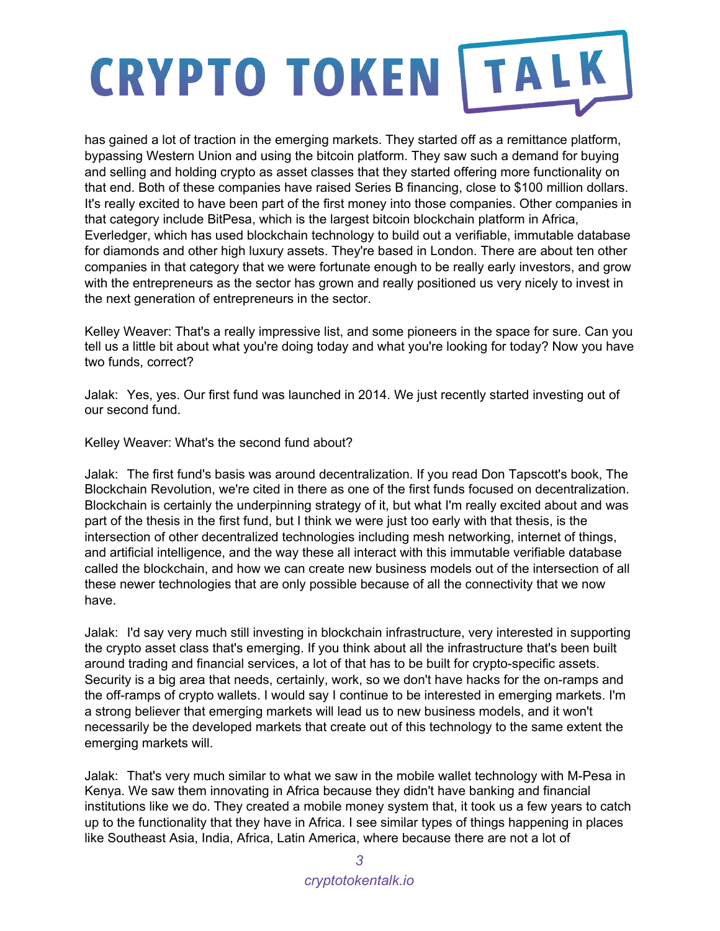has gained a lot of traction in the emerging markets. They started off as a remittance platform, bypassing Western Union and using the bitcoin platform. They saw such a demand for buying and selling and holding crypto as asset classes that they started offering more functionality on that end. Both of these companies have raised Series B financing, close to \$100 million dollars. It's really excited to have been part of the first money into those companies. Other companies in that category include BitPesa, which is the largest bitcoin blockchain platform in Africa, Everledger, which has used blockchain technology to build out a verifiable, immutable database for diamonds and other high luxury assets. They're based in London. There are about ten other companies in that category that we were fortunate enough to be really early investors, and grow with the entrepreneurs as the sector has grown and really positioned us very nicely to invest in the next generation of entrepreneurs in the sector.

Kelley Weaver: That's a really impressive list, and some pioneers in the space for sure. Can you tell us a little bit about what you're doing today and what you're looking for today? Now you have two funds, correct?

Jalak: Yes, yes. Our first fund was launched in 2014. We just recently started investing out of our second fund.

Kelley Weaver: What's the second fund about?

Jalak: The first fund's basis was around decentralization. If you read Don Tapscott's book, The Blockchain Revolution, we're cited in there as one of the first funds focused on decentralization. Blockchain is certainly the underpinning strategy of it, but what I'm really excited about and was part of the thesis in the first fund, but I think we were just too early with that thesis, is the intersection of other decentralized technologies including mesh networking, internet of things, and artificial intelligence, and the way these all interact with this immutable verifiable database called the blockchain, and how we can create new business models out of the intersection of all these newer technologies that are only possible because of all the connectivity that we now have.

Jalak: I'd say very much still investing in blockchain infrastructure, very interested in supporting the crypto asset class that's emerging. If you think about all the infrastructure that's been built around trading and financial services, a lot of that has to be built for crypto-specific assets. Security is a big area that needs, certainly, work, so we don't have hacks for the on-ramps and the off-ramps of crypto wallets. I would say I continue to be interested in emerging markets. I'm a strong believer that emerging markets will lead us to new business models, and it won't necessarily be the developed markets that create out of this technology to the same extent the emerging markets will.

Jalak: That's very much similar to what we saw in the mobile wallet technology with M-Pesa in Kenya. We saw them innovating in Africa because they didn't have banking and financial institutions like we do. They created a mobile money system that, it took us a few years to catch up to the functionality that they have in Africa. I see similar types of things happening in places like Southeast Asia, India, Africa, Latin America, where because there are not a lot of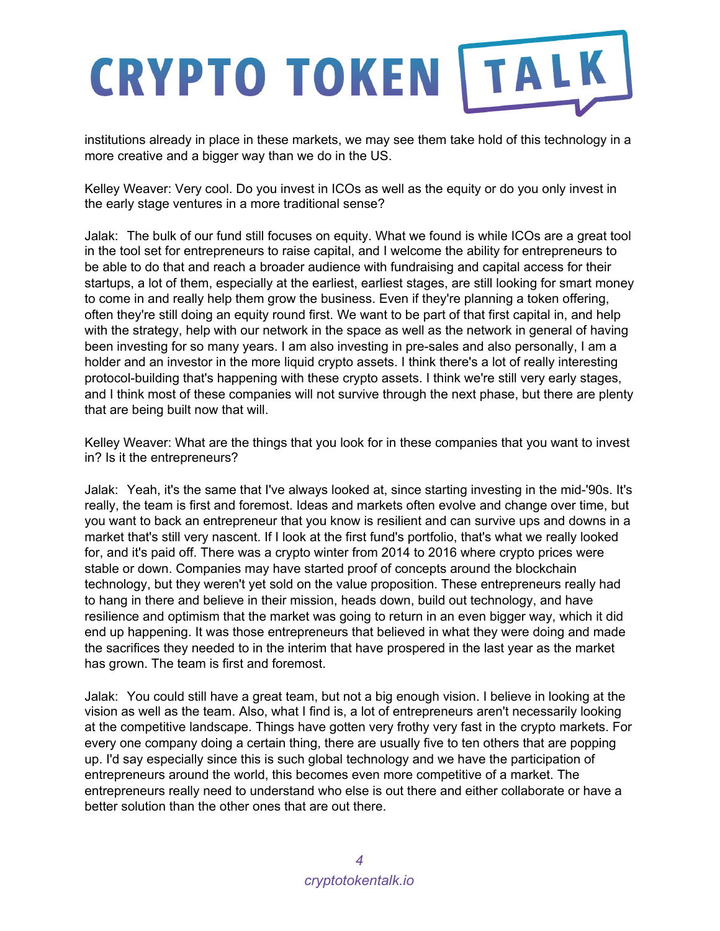institutions already in place in these markets, we may see them take hold of this technology in a more creative and a bigger way than we do in the US.

Kelley Weaver: Very cool. Do you invest in ICOs as well as the equity or do you only invest in the early stage ventures in a more traditional sense?

Jalak: The bulk of our fund still focuses on equity. What we found is while ICOs are a great tool in the tool set for entrepreneurs to raise capital, and I welcome the ability for entrepreneurs to be able to do that and reach a broader audience with fundraising and capital access for their startups, a lot of them, especially at the earliest, earliest stages, are still looking for smart money to come in and really help them grow the business. Even if they're planning a token offering, often they're still doing an equity round first. We want to be part of that first capital in, and help with the strategy, help with our network in the space as well as the network in general of having been investing for so many years. I am also investing in pre-sales and also personally, I am a holder and an investor in the more liquid crypto assets. I think there's a lot of really interesting protocol-building that's happening with these crypto assets. I think we're still very early stages, and I think most of these companies will not survive through the next phase, but there are plenty that are being built now that will.

Kelley Weaver: What are the things that you look for in these companies that you want to invest in? Is it the entrepreneurs?

Jalak: Yeah, it's the same that I've always looked at, since starting investing in the mid-'90s. It's really, the team is first and foremost. Ideas and markets often evolve and change over time, but you want to back an entrepreneur that you know is resilient and can survive ups and downs in a market that's still very nascent. If I look at the first fund's portfolio, that's what we really looked for, and it's paid off. There was a crypto winter from 2014 to 2016 where crypto prices were stable or down. Companies may have started proof of concepts around the blockchain technology, but they weren't yet sold on the value proposition. These entrepreneurs really had to hang in there and believe in their mission, heads down, build out technology, and have resilience and optimism that the market was going to return in an even bigger way, which it did end up happening. It was those entrepreneurs that believed in what they were doing and made the sacrifices they needed to in the interim that have prospered in the last year as the market has grown. The team is first and foremost.

Jalak: You could still have a great team, but not a big enough vision. I believe in looking at the vision as well as the team. Also, what I find is, a lot of entrepreneurs aren't necessarily looking at the competitive landscape. Things have gotten very frothy very fast in the crypto markets. For every one company doing a certain thing, there are usually five to ten others that are popping up. I'd say especially since this is such global technology and we have the participation of entrepreneurs around the world, this becomes even more competitive of a market. The entrepreneurs really need to understand who else is out there and either collaborate or have a better solution than the other ones that are out there.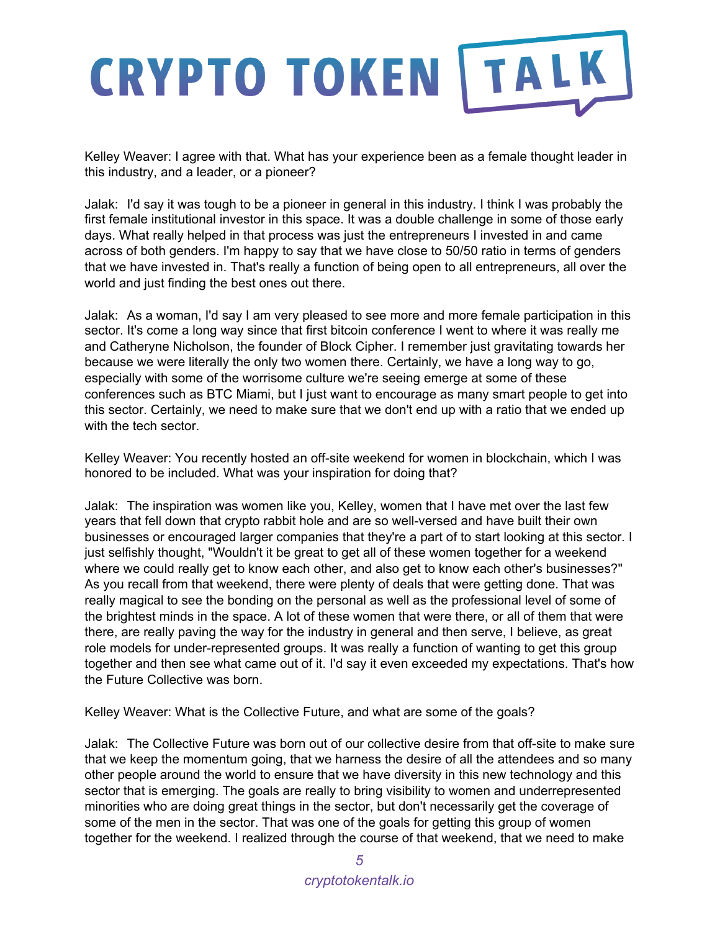Kelley Weaver: I agree with that. What has your experience been as a female thought leader in this industry, and a leader, or a pioneer?

Jalak: I'd say it was tough to be a pioneer in general in this industry. I think I was probably the first female institutional investor in this space. It was a double challenge in some of those early days. What really helped in that process was just the entrepreneurs I invested in and came across of both genders. I'm happy to say that we have close to 50/50 ratio in terms of genders that we have invested in. That's really a function of being open to all entrepreneurs, all over the world and just finding the best ones out there.

Jalak: As a woman, I'd say I am very pleased to see more and more female participation in this sector. It's come a long way since that first bitcoin conference I went to where it was really me and Catheryne Nicholson, the founder of Block Cipher. I remember just gravitating towards her because we were literally the only two women there. Certainly, we have a long way to go, especially with some of the worrisome culture we're seeing emerge at some of these conferences such as BTC Miami, but I just want to encourage as many smart people to get into this sector. Certainly, we need to make sure that we don't end up with a ratio that we ended up with the tech sector.

Kelley Weaver: You recently hosted an off-site weekend for women in blockchain, which I was honored to be included. What was your inspiration for doing that?

Jalak: The inspiration was women like you, Kelley, women that I have met over the last few years that fell down that crypto rabbit hole and are so well-versed and have built their own businesses or encouraged larger companies that they're a part of to start looking at this sector. I just selfishly thought, "Wouldn't it be great to get all of these women together for a weekend where we could really get to know each other, and also get to know each other's businesses?" As you recall from that weekend, there were plenty of deals that were getting done. That was really magical to see the bonding on the personal as well as the professional level of some of the brightest minds in the space. A lot of these women that were there, or all of them that were there, are really paving the way for the industry in general and then serve, I believe, as great role models for under-represented groups. It was really a function of wanting to get this group together and then see what came out of it. I'd say it even exceeded my expectations. That's how the Future Collective was born.

Kelley Weaver: What is the Collective Future, and what are some of the goals?

Jalak: The Collective Future was born out of our collective desire from that off-site to make sure that we keep the momentum going, that we harness the desire of all the attendees and so many other people around the world to ensure that we have diversity in this new technology and this sector that is emerging. The goals are really to bring visibility to women and underrepresented minorities who are doing great things in the sector, but don't necessarily get the coverage of some of the men in the sector. That was one of the goals for getting this group of women together for the weekend. I realized through the course of that weekend, that we need to make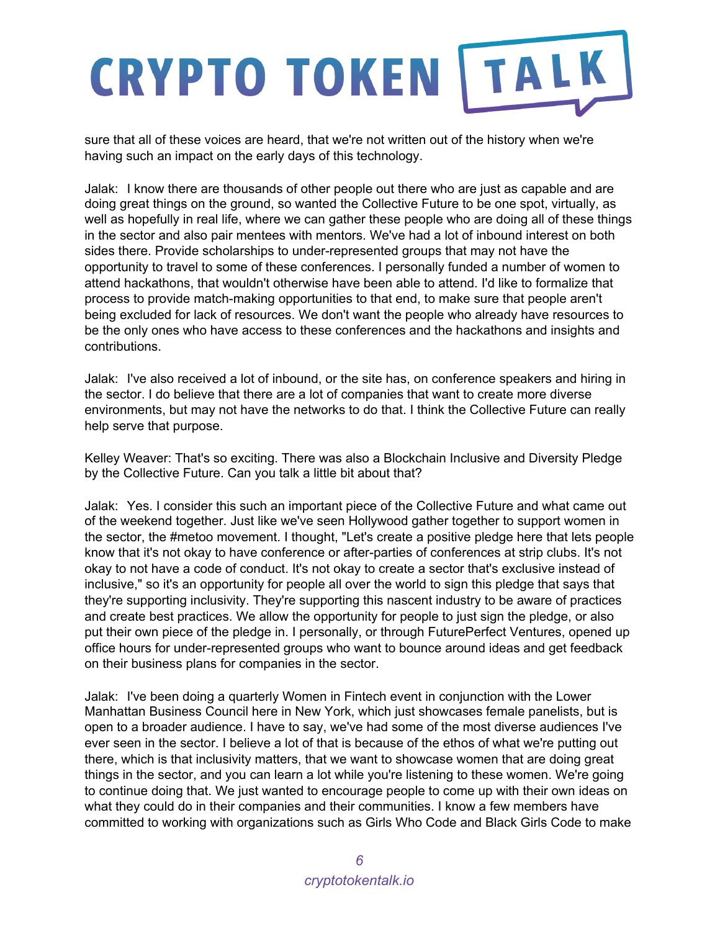sure that all of these voices are heard, that we're not written out of the history when we're having such an impact on the early days of this technology.

Jalak: I know there are thousands of other people out there who are just as capable and are doing great things on the ground, so wanted the Collective Future to be one spot, virtually, as well as hopefully in real life, where we can gather these people who are doing all of these things in the sector and also pair mentees with mentors. We've had a lot of inbound interest on both sides there. Provide scholarships to under-represented groups that may not have the opportunity to travel to some of these conferences. I personally funded a number of women to attend hackathons, that wouldn't otherwise have been able to attend. I'd like to formalize that process to provide match-making opportunities to that end, to make sure that people aren't being excluded for lack of resources. We don't want the people who already have resources to be the only ones who have access to these conferences and the hackathons and insights and contributions.

Jalak: I've also received a lot of inbound, or the site has, on conference speakers and hiring in the sector. I do believe that there are a lot of companies that want to create more diverse environments, but may not have the networks to do that. I think the Collective Future can really help serve that purpose.

Kelley Weaver: That's so exciting. There was also a Blockchain Inclusive and Diversity Pledge by the Collective Future. Can you talk a little bit about that?

Jalak: Yes. I consider this such an important piece of the Collective Future and what came out of the weekend together. Just like we've seen Hollywood gather together to support women in the sector, the #metoo movement. I thought, "Let's create a positive pledge here that lets people know that it's not okay to have conference or after-parties of conferences at strip clubs. It's not okay to not have a code of conduct. It's not okay to create a sector that's exclusive instead of inclusive," so it's an opportunity for people all over the world to sign this pledge that says that they're supporting inclusivity. They're supporting this nascent industry to be aware of practices and create best practices. We allow the opportunity for people to just sign the pledge, or also put their own piece of the pledge in. I personally, or through FuturePerfect Ventures, opened up office hours for under-represented groups who want to bounce around ideas and get feedback on their business plans for companies in the sector.

Jalak: I've been doing a quarterly Women in Fintech event in conjunction with the Lower Manhattan Business Council here in New York, which just showcases female panelists, but is open to a broader audience. I have to say, we've had some of the most diverse audiences I've ever seen in the sector. I believe a lot of that is because of the ethos of what we're putting out there, which is that inclusivity matters, that we want to showcase women that are doing great things in the sector, and you can learn a lot while you're listening to these women. We're going to continue doing that. We just wanted to encourage people to come up with their own ideas on what they could do in their companies and their communities. I know a few members have committed to working with organizations such as Girls Who Code and Black Girls Code to make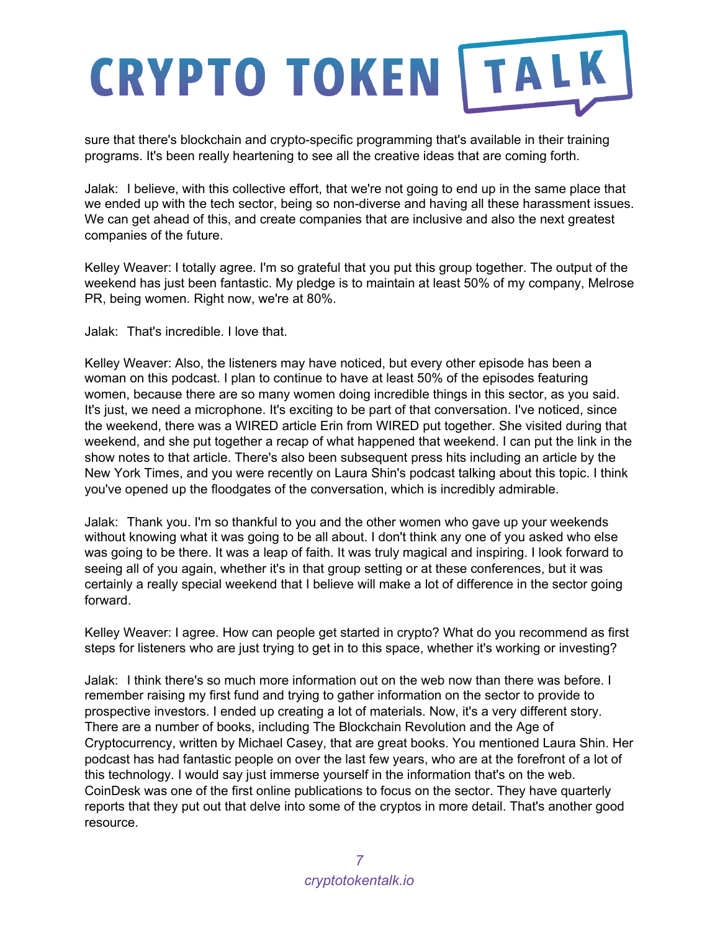sure that there's blockchain and crypto-specific programming that's available in their training programs. It's been really heartening to see all the creative ideas that are coming forth.

Jalak: I believe, with this collective effort, that we're not going to end up in the same place that we ended up with the tech sector, being so non-diverse and having all these harassment issues. We can get ahead of this, and create companies that are inclusive and also the next greatest companies of the future.

Kelley Weaver: I totally agree. I'm so grateful that you put this group together. The output of the weekend has just been fantastic. My pledge is to maintain at least 50% of my company, Melrose PR, being women. Right now, we're at 80%.

Jalak: That's incredible. I love that.

Kelley Weaver: Also, the listeners may have noticed, but every other episode has been a woman on this podcast. I plan to continue to have at least 50% of the episodes featuring women, because there are so many women doing incredible things in this sector, as you said. It's just, we need a microphone. It's exciting to be part of that conversation. I've noticed, since the weekend, there was a WIRED article Erin from WIRED put together. She visited during that weekend, and she put together a recap of what happened that weekend. I can put the link in the show notes to that article. There's also been subsequent press hits including an article by the New York Times, and you were recently on Laura Shin's podcast talking about this topic. I think you've opened up the floodgates of the conversation, which is incredibly admirable.

Jalak: Thank you. I'm so thankful to you and the other women who gave up your weekends without knowing what it was going to be all about. I don't think any one of you asked who else was going to be there. It was a leap of faith. It was truly magical and inspiring. I look forward to seeing all of you again, whether it's in that group setting or at these conferences, but it was certainly a really special weekend that I believe will make a lot of difference in the sector going forward.

Kelley Weaver: I agree. How can people get started in crypto? What do you recommend as first steps for listeners who are just trying to get in to this space, whether it's working or investing?

Jalak: I think there's so much more information out on the web now than there was before. I remember raising my first fund and trying to gather information on the sector to provide to prospective investors. I ended up creating a lot of materials. Now, it's a very different story. There are a number of books, including The Blockchain Revolution and the Age of Cryptocurrency, written by Michael Casey, that are great books. You mentioned Laura Shin. Her podcast has had fantastic people on over the last few years, who are at the forefront of a lot of this technology. I would say just immerse yourself in the information that's on the web. CoinDesk was one of the first online publications to focus on the sector. They have quarterly reports that they put out that delve into some of the cryptos in more detail. That's another good resource.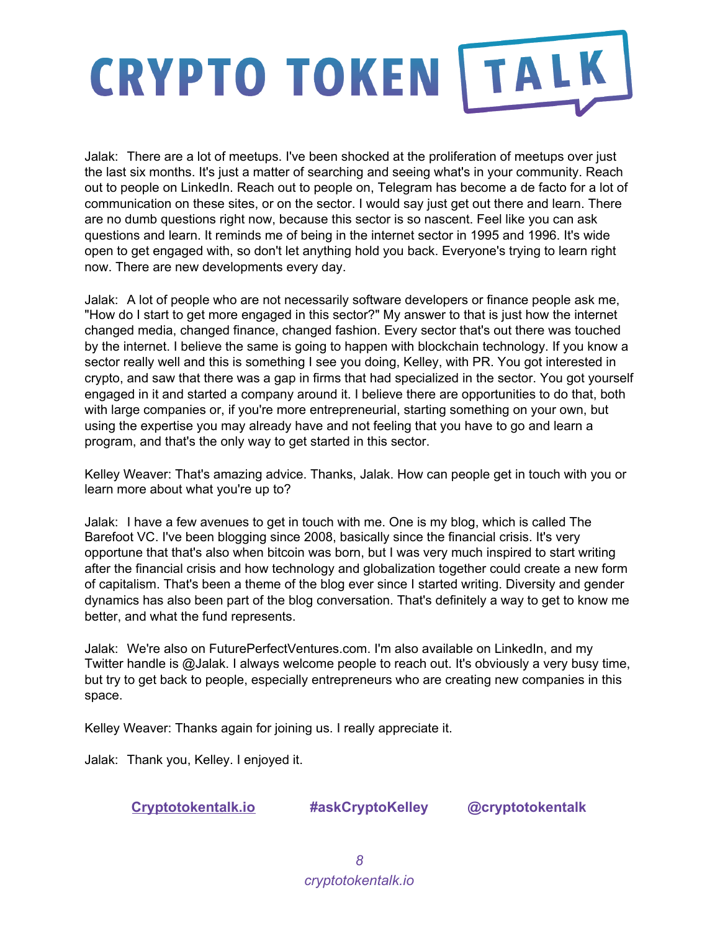Jalak: There are a lot of meetups. I've been shocked at the proliferation of meetups over just the last six months. It's just a matter of searching and seeing what's in your community. Reach out to people on LinkedIn. Reach out to people on, Telegram has become a de facto for a lot of communication on these sites, or on the sector. I would say just get out there and learn. There are no dumb questions right now, because this sector is so nascent. Feel like you can ask questions and learn. It reminds me of being in the internet sector in 1995 and 1996. It's wide open to get engaged with, so don't let anything hold you back. Everyone's trying to learn right now. There are new developments every day.

Jalak: A lot of people who are not necessarily software developers or finance people ask me, "How do I start to get more engaged in this sector?" My answer to that is just how the internet changed media, changed finance, changed fashion. Every sector that's out there was touched by the internet. I believe the same is going to happen with blockchain technology. If you know a sector really well and this is something I see you doing, Kelley, with PR. You got interested in crypto, and saw that there was a gap in firms that had specialized in the sector. You got yourself engaged in it and started a company around it. I believe there are opportunities to do that, both with large companies or, if you're more entrepreneurial, starting something on your own, but using the expertise you may already have and not feeling that you have to go and learn a program, and that's the only way to get started in this sector.

Kelley Weaver: That's amazing advice. Thanks, Jalak. How can people get in touch with you or learn more about what you're up to?

Jalak: I have a few avenues to get in touch with me. One is my blog, which is called The Barefoot VC. I've been blogging since 2008, basically since the financial crisis. It's very opportune that that's also when bitcoin was born, but I was very much inspired to start writing after the financial crisis and how technology and globalization together could create a new form of capitalism. That's been a theme of the blog ever since I started writing. Diversity and gender dynamics has also been part of the blog conversation. That's definitely a way to get to know me better, and what the fund represents.

Jalak: We're also on FuturePerfectVentures.com. I'm also available on LinkedIn, and my Twitter handle is @Jalak. I always welcome people to reach out. It's obviously a very busy time, but try to get back to people, especially entrepreneurs who are creating new companies in this space.

Kelley Weaver: Thanks again for joining us. I really appreciate it.

Jalak: Thank you, Kelley. I enjoyed it.

**[Cryptotokentalk.io](https://cryptotokentalk.io/) #askCryptoKelley @cryptotokentalk**